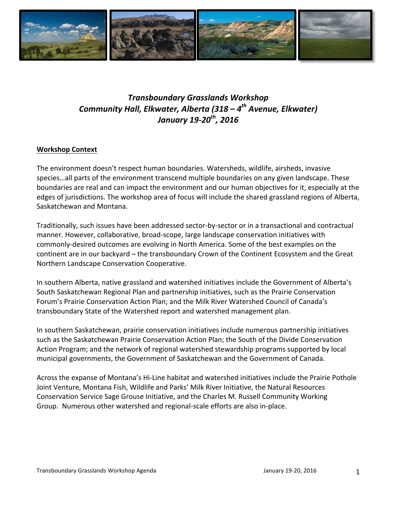

# *Transboundary Grasslands Workshop Community Hall, Elkwater, Alberta (318 – 4th Avenue, Elkwater) January* 19-20<sup>th</sup>, 2016

# **Workshop Context**

The environment doesn't respect human boundaries. Watersheds, wildlife, airsheds, invasive species...all parts of the environment transcend multiple boundaries on any given landscape. These boundaries are real and can impact the environment and our human objectives for it, especially at the edges of jurisdictions. The workshop area of focus will include the shared grassland regions of Alberta, Saskatchewan and Montana.

Traditionally, such issues have been addressed sector-by-sector or in a transactional and contractual manner. However, collaborative, broad-scope, large landscape conservation initiatives with commonly-desired outcomes are evolving in North America. Some of the best examples on the continent are in our backyard – the transboundary Crown of the Continent Ecosystem and the Great Northern Landscape Conservation Cooperative.

In southern Alberta, native grassland and watershed initiatives include the Government of Alberta's South Saskatchewan Regional Plan and partnership initiatives, such as the Prairie Conservation Forum's Prairie Conservation Action Plan; and the Milk River Watershed Council of Canada's transboundary State of the Watershed report and watershed management plan.

In southern Saskatchewan, prairie conservation initiatives include numerous partnership initiatives such as the Saskatchewan Prairie Conservation Action Plan; the South of the Divide Conservation Action Program; and the network of regional watershed stewardship programs supported by local municipal governments, the Government of Saskatchewan and the Government of Canada.

Across the expanse of Montana's Hi-Line habitat and watershed initiatives include the Prairie Pothole Joint Venture, Montana Fish, Wildlife and Parks' Milk River Initiative, the Natural Resources Conservation Service Sage Grouse Initiative, and the Charles M. Russell Community Working Group. Numerous other watershed and regional-scale efforts are also in-place.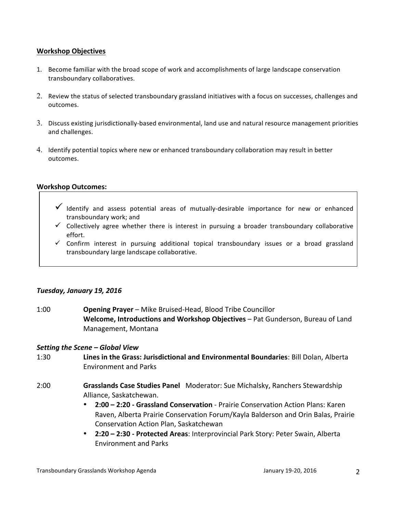#### **Workshop Objectives**

- 1. Become familiar with the broad scope of work and accomplishments of large landscape conservation transboundary collaboratives.
- 2. Review the status of selected transboundary grassland initiatives with a focus on successes, challenges and outcomes.
- 3. Discuss existing jurisdictionally-based environmental, land use and natural resource management priorities and challenges.
- 4. Identify potential topics where new or enhanced transboundary collaboration may result in better outcomes.

#### **Workshop Outcomes:**

- $\checkmark$  Identify and assess potential areas of mutually-desirable importance for new or enhanced transboundary work; and
- $\checkmark$  Collectively agree whether there is interest in pursuing a broader transboundary collaborative effort.
- $\checkmark$  Confirm interest in pursuing additional topical transboundary issues or a broad grassland transboundary large landscape collaborative.

### *Tuesday, January 19, 2016*

1:00 **Opening Prayer** – Mike Bruised-Head, Blood Tribe Councillor **Welcome, Introductions and Workshop Objectives** – Pat Gunderson, Bureau of Land Management, Montana

#### *Setting the Scene – Global View*

- 1:30 **Lines in the Grass: Jurisdictional and Environmental Boundaries**: Bill Dolan, Alberta Environment and Parks
- 2:00 **Grasslands Case Studies Panel** Moderator: Sue Michalsky, Ranchers Stewardship Alliance, Saskatchewan.
	- **2:00 – 2:20 - Grassland Conservation** Prairie Conservation Action Plans: Karen Raven, Alberta Prairie Conservation Forum/Kayla Balderson and Orin Balas, Prairie Conservation Action Plan, Saskatchewan
	- **2:20 – 2:30 - Protected Areas**: Interprovincial Park Story: Peter Swain, Alberta Environment and Parks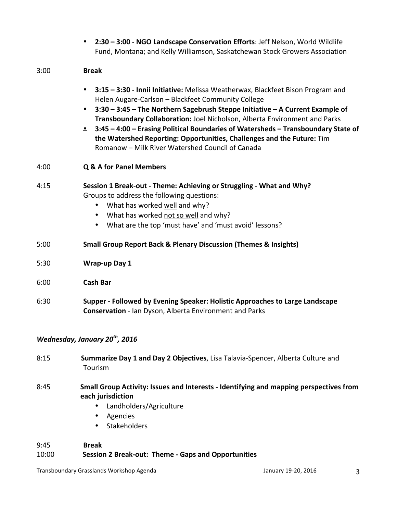|      | 2:30 - 3:00 - NGO Landscape Conservation Efforts: Jeff Nelson, World Wildlife<br>Fund, Montana; and Kelly Williamson, Saskatchewan Stock Growers Association                                                                                                                                                                                                                                                                                                                                                                          |
|------|---------------------------------------------------------------------------------------------------------------------------------------------------------------------------------------------------------------------------------------------------------------------------------------------------------------------------------------------------------------------------------------------------------------------------------------------------------------------------------------------------------------------------------------|
| 3:00 | <b>Break</b>                                                                                                                                                                                                                                                                                                                                                                                                                                                                                                                          |
|      | 3:15 - 3:30 - Innii Initiative: Melissa Weatherwax, Blackfeet Bison Program and<br>Helen Augare-Carlson - Blackfeet Community College<br>3:30 - 3:45 - The Northern Sagebrush Steppe Initiative - A Current Example of<br>٠<br>Transboundary Collaboration: Joel Nicholson, Alberta Environment and Parks<br><b>• 3:45 - 4:00 - Erasing Political Boundaries of Watersheds - Transboundary State of</b><br>the Watershed Reporting: Opportunities, Challenges and the Future: Tim<br>Romanow - Milk River Watershed Council of Canada |
| 4:00 | <b>Q &amp; A for Panel Members</b>                                                                                                                                                                                                                                                                                                                                                                                                                                                                                                    |
| 4:15 | Session 1 Break-out - Theme: Achieving or Struggling - What and Why?<br>Groups to address the following questions:<br>• What has worked well and why?<br>What has worked not so well and why?<br>What are the top 'must have' and 'must avoid' lessons?                                                                                                                                                                                                                                                                               |
| 5:00 | <b>Small Group Report Back &amp; Plenary Discussion (Themes &amp; Insights)</b>                                                                                                                                                                                                                                                                                                                                                                                                                                                       |
| 5:30 | <b>Wrap-up Day 1</b>                                                                                                                                                                                                                                                                                                                                                                                                                                                                                                                  |
| 6:00 | <b>Cash Bar</b>                                                                                                                                                                                                                                                                                                                                                                                                                                                                                                                       |
| 6:30 | Supper - Followed by Evening Speaker: Holistic Approaches to Large Landscape<br><b>Conservation</b> - Ian Dyson, Alberta Environment and Parks                                                                                                                                                                                                                                                                                                                                                                                        |
|      | Wednesday, January 20 <sup>th</sup> , 2016                                                                                                                                                                                                                                                                                                                                                                                                                                                                                            |
| 8:15 | Summarize Day 1 and Day 2 Objectives, Lisa Talavia-Spencer, Alberta Culture and<br>Tourism                                                                                                                                                                                                                                                                                                                                                                                                                                            |
| 8:45 | Small Group Activity: Issues and Interests - Identifying and mapping perspectives from<br>each jurisdiction<br>Landholders/Agriculture<br>Agencies<br>Stakeholders                                                                                                                                                                                                                                                                                                                                                                    |

# 9:45 **Break** 10:00 **Session 2 Break-out: Theme - Gaps and Opportunities**